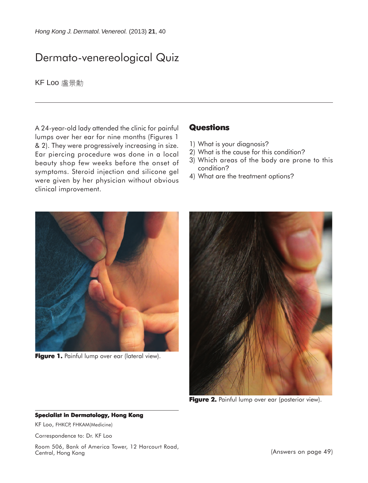# Dermato-venereological Quiz

KF Loo 盧景勳

A 24-year-old lady attended the clinic for painful lumps over her ear for nine months (Figures 1 & 2). They were progressively increasing in size. Ear piercing procedure was done in a local beauty shop few weeks before the onset of symptoms. Steroid injection and silicone gel were given by her physician without obvious clinical improvement.

## **Questions**

- 1) What is your diagnosis?
- 2) What is the cause for this condition?
- 3) Which areas of the body are prone to this condition?
- 4) What are the treatment options?



Figure 1. Painful lump over ear (lateral view).



**Figure 2.** Painful lump over ear (posterior view).

#### **Specialist in Dermatology, Hong Kong**

KF Loo, FHKCP, FHKAM(Medicine)

Correspondence to: Dr. KF Loo

Room 506, Bank of America Tower, 12 Harcourt Road, Central, Hong Kong